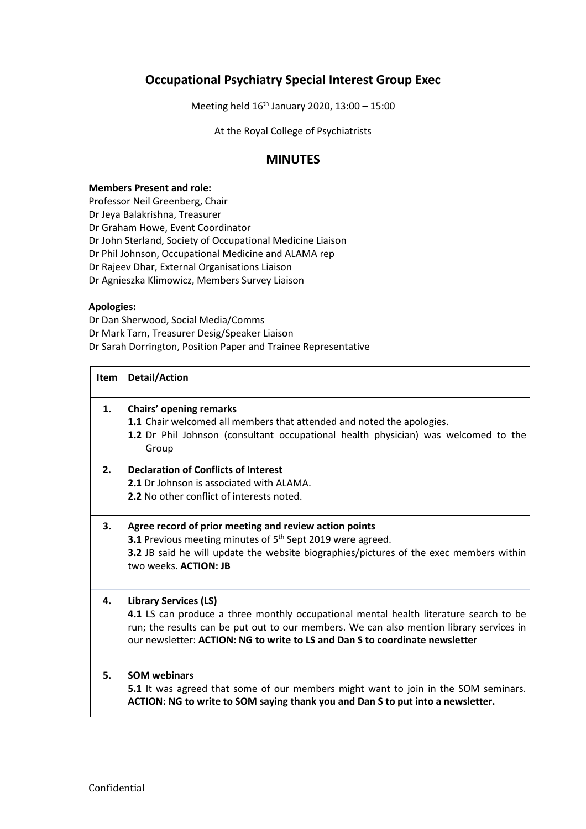## **Occupational Psychiatry Special Interest Group Exec**

Meeting held 16th January 2020, 13:00 – 15:00

At the Royal College of Psychiatrists

## **MINUTES**

## **Members Present and role:**

Professor Neil Greenberg, Chair

Dr Jeya Balakrishna, Treasurer

Dr Graham Howe, Event Coordinator

Dr John Sterland, Society of Occupational Medicine Liaison

Dr Phil Johnson, Occupational Medicine and ALAMA rep

Dr Rajeev Dhar, External Organisations Liaison

Dr Agnieszka Klimowicz, Members Survey Liaison

## **Apologies:**

Dr Dan Sherwood, Social Media/Comms Dr Mark Tarn, Treasurer Desig/Speaker Liaison Dr Sarah Dorrington, Position Paper and Trainee Representative

| <b>Item</b>    | <b>Detail/Action</b>                                                                                                                                                                                                                                                                             |
|----------------|--------------------------------------------------------------------------------------------------------------------------------------------------------------------------------------------------------------------------------------------------------------------------------------------------|
| $\mathbf{1}$ . | Chairs' opening remarks<br>1.1 Chair welcomed all members that attended and noted the apologies.<br>1.2 Dr Phil Johnson (consultant occupational health physician) was welcomed to the<br>Group                                                                                                  |
| 2.             | <b>Declaration of Conflicts of Interest</b><br>2.1 Dr Johnson is associated with ALAMA.<br>2.2 No other conflict of interests noted.                                                                                                                                                             |
| 3.             | Agree record of prior meeting and review action points<br>3.1 Previous meeting minutes of 5 <sup>th</sup> Sept 2019 were agreed.<br>3.2 JB said he will update the website biographies/pictures of the exec members within<br>two weeks. ACTION: JB                                              |
| 4.             | <b>Library Services (LS)</b><br>4.1 LS can produce a three monthly occupational mental health literature search to be<br>run; the results can be put out to our members. We can also mention library services in<br>our newsletter: ACTION: NG to write to LS and Dan S to coordinate newsletter |
| 5.             | <b>SOM webinars</b><br>5.1 It was agreed that some of our members might want to join in the SOM seminars.<br>ACTION: NG to write to SOM saying thank you and Dan S to put into a newsletter.                                                                                                     |